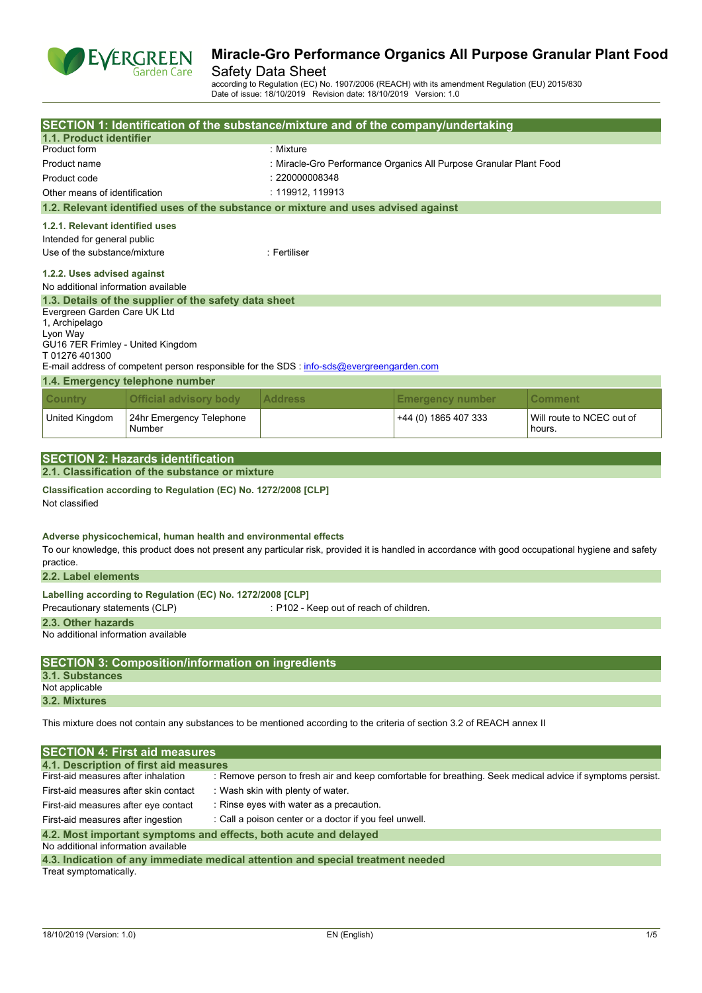

## Safety Data Sheet

according to Regulation (EC) No. 1907/2006 (REACH) with its amendment Regulation (EU) 2015/830 Date of issue: 18/10/2019 Revision date: 18/10/2019 Version: 1.0

|                                                                                                                                                  |                                                                 | SECTION 1: Identification of the substance/mixture and of the company/undertaking                                                                   |                                                                    |                                     |  |  |  |
|--------------------------------------------------------------------------------------------------------------------------------------------------|-----------------------------------------------------------------|-----------------------------------------------------------------------------------------------------------------------------------------------------|--------------------------------------------------------------------|-------------------------------------|--|--|--|
| 1.1. Product identifier                                                                                                                          |                                                                 |                                                                                                                                                     |                                                                    |                                     |  |  |  |
| Product form                                                                                                                                     |                                                                 | : Mixture                                                                                                                                           |                                                                    |                                     |  |  |  |
| Product name                                                                                                                                     |                                                                 |                                                                                                                                                     | : Miracle-Gro Performance Organics All Purpose Granular Plant Food |                                     |  |  |  |
| Product code                                                                                                                                     |                                                                 | : 220000008348                                                                                                                                      |                                                                    |                                     |  |  |  |
| Other means of identification                                                                                                                    |                                                                 | : 119912, 119913                                                                                                                                    |                                                                    |                                     |  |  |  |
|                                                                                                                                                  |                                                                 | 1.2. Relevant identified uses of the substance or mixture and uses advised against                                                                  |                                                                    |                                     |  |  |  |
| 1.2.1. Relevant identified uses                                                                                                                  |                                                                 |                                                                                                                                                     |                                                                    |                                     |  |  |  |
| Intended for general public                                                                                                                      |                                                                 |                                                                                                                                                     |                                                                    |                                     |  |  |  |
| Use of the substance/mixture                                                                                                                     |                                                                 | : Fertiliser                                                                                                                                        |                                                                    |                                     |  |  |  |
| 1.2.2. Uses advised against<br>No additional information available                                                                               |                                                                 |                                                                                                                                                     |                                                                    |                                     |  |  |  |
|                                                                                                                                                  | 1.3. Details of the supplier of the safety data sheet           |                                                                                                                                                     |                                                                    |                                     |  |  |  |
| Evergreen Garden Care UK Ltd                                                                                                                     |                                                                 |                                                                                                                                                     |                                                                    |                                     |  |  |  |
| 1, Archipelago<br>Lyon Way                                                                                                                       |                                                                 |                                                                                                                                                     |                                                                    |                                     |  |  |  |
| GU16 7ER Frimley - United Kingdom                                                                                                                |                                                                 |                                                                                                                                                     |                                                                    |                                     |  |  |  |
| T01276401300                                                                                                                                     |                                                                 |                                                                                                                                                     |                                                                    |                                     |  |  |  |
|                                                                                                                                                  | 1.4. Emergency telephone number                                 | E-mail address of competent person responsible for the SDS : info-sds@evergreengarden.com                                                           |                                                                    |                                     |  |  |  |
|                                                                                                                                                  |                                                                 |                                                                                                                                                     |                                                                    |                                     |  |  |  |
| <b>Country</b>                                                                                                                                   | <b>Official advisory body</b>                                   | <b>Address</b>                                                                                                                                      | <b>Emergency number</b>                                            | Comment                             |  |  |  |
| United Kingdom                                                                                                                                   | 24hr Emergency Telephone<br>Number                              |                                                                                                                                                     | +44 (0) 1865 407 333                                               | Will route to NCEC out of<br>hours. |  |  |  |
|                                                                                                                                                  |                                                                 |                                                                                                                                                     |                                                                    |                                     |  |  |  |
|                                                                                                                                                  | <b>SECTION 2: Hazards identification</b>                        |                                                                                                                                                     |                                                                    |                                     |  |  |  |
|                                                                                                                                                  | 2.1. Classification of the substance or mixture                 |                                                                                                                                                     |                                                                    |                                     |  |  |  |
| Not classified                                                                                                                                   | Classification according to Regulation (EC) No. 1272/2008 [CLP] |                                                                                                                                                     |                                                                    |                                     |  |  |  |
| practice.                                                                                                                                        | Adverse physicochemical, human health and environmental effects | To our knowledge, this product does not present any particular risk, provided it is handled in accordance with good occupational hygiene and safety |                                                                    |                                     |  |  |  |
| 2.2. Label elements                                                                                                                              |                                                                 |                                                                                                                                                     |                                                                    |                                     |  |  |  |
| Precautionary statements (CLP)                                                                                                                   | Labelling according to Regulation (EC) No. 1272/2008 [CLP]      | : P102 - Keep out of reach of children.                                                                                                             |                                                                    |                                     |  |  |  |
| 2.3. Other hazards                                                                                                                               |                                                                 |                                                                                                                                                     |                                                                    |                                     |  |  |  |
| No additional information available                                                                                                              |                                                                 |                                                                                                                                                     |                                                                    |                                     |  |  |  |
|                                                                                                                                                  | <b>SECTION 3: Composition/information on ingredients</b>        |                                                                                                                                                     |                                                                    |                                     |  |  |  |
| 3.1. Substances                                                                                                                                  |                                                                 |                                                                                                                                                     |                                                                    |                                     |  |  |  |
| Not applicable                                                                                                                                   |                                                                 |                                                                                                                                                     |                                                                    |                                     |  |  |  |
| 3.2. Mixtures                                                                                                                                    |                                                                 |                                                                                                                                                     |                                                                    |                                     |  |  |  |
|                                                                                                                                                  |                                                                 | This mixture does not contain any substances to be mentioned according to the criteria of section 3.2 of REACH annex II                             |                                                                    |                                     |  |  |  |
|                                                                                                                                                  | <b>SECTION 4: First aid measures</b>                            |                                                                                                                                                     |                                                                    |                                     |  |  |  |
|                                                                                                                                                  | 4.1. Description of first aid measures                          |                                                                                                                                                     |                                                                    |                                     |  |  |  |
| First-aid measures after inhalation<br>: Remove person to fresh air and keep comfortable for breathing. Seek medical advice if symptoms persist. |                                                                 |                                                                                                                                                     |                                                                    |                                     |  |  |  |
| First-aid measures after skin contact                                                                                                            |                                                                 | : Wash skin with plenty of water.                                                                                                                   |                                                                    |                                     |  |  |  |
| First-aid measures after eye contact                                                                                                             |                                                                 | : Rinse eyes with water as a precaution.                                                                                                            |                                                                    |                                     |  |  |  |
| First-aid measures after ingestion                                                                                                               |                                                                 | : Call a poison center or a doctor if you feel unwell.                                                                                              |                                                                    |                                     |  |  |  |
| 4.2. Most important symptoms and effects, both acute and delayed                                                                                 |                                                                 |                                                                                                                                                     |                                                                    |                                     |  |  |  |

| 4.3. Indication of any immediate medical attention and special treatment needed |  |  |  |
|---------------------------------------------------------------------------------|--|--|--|
| Treat symptomatically.                                                          |  |  |  |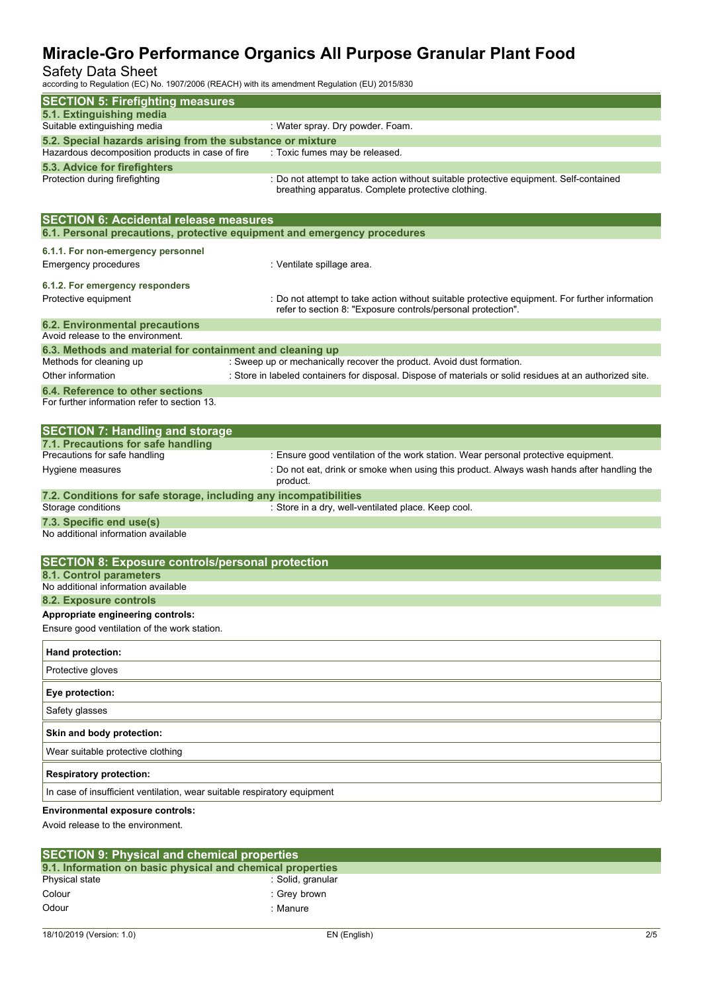## Safety Data Sheet

according to Regulation (EC) No. 1907/2006 (REACH) with its amendment Regulation (EU) 2015/830

| according to Regulation (EC) No. 1907/2000 (REACH) with its amendment Regulation (EO) 2015/630 |                                                                                                                                             |
|------------------------------------------------------------------------------------------------|---------------------------------------------------------------------------------------------------------------------------------------------|
| <b>SECTION 5: Firefighting measures</b><br>5.1. Extinguishing media                            |                                                                                                                                             |
| Suitable extinguishing media                                                                   | : Water spray. Dry powder. Foam.                                                                                                            |
| 5.2. Special hazards arising from the substance or mixture                                     |                                                                                                                                             |
| Hazardous decomposition products in case of fire                                               | : Toxic fumes may be released.                                                                                                              |
| 5.3. Advice for firefighters                                                                   |                                                                                                                                             |
| Protection during firefighting                                                                 | : Do not attempt to take action without suitable protective equipment. Self-contained<br>breathing apparatus. Complete protective clothing. |
| <b>SECTION 6: Accidental release measures</b>                                                  |                                                                                                                                             |
| 6.1. Personal precautions, protective equipment and emergency procedures                       |                                                                                                                                             |
| 6.1.1. For non-emergency personnel                                                             |                                                                                                                                             |
| Emergency procedures                                                                           | : Ventilate spillage area.                                                                                                                  |
| 6.1.2. For emergency responders                                                                |                                                                                                                                             |
| Protective equipment                                                                           | : Do not attempt to take action without suitable protective equipment. For further information                                              |
|                                                                                                | refer to section 8: "Exposure controls/personal protection".                                                                                |
| <b>6.2. Environmental precautions</b>                                                          |                                                                                                                                             |
| Avoid release to the environment.                                                              |                                                                                                                                             |
| 6.3. Methods and material for containment and cleaning up<br>Methods for cleaning up           | : Sweep up or mechanically recover the product. Avoid dust formation.                                                                       |
| Other information                                                                              | : Store in labeled containers for disposal. Dispose of materials or solid residues at an authorized site.                                   |
| 6.4. Reference to other sections                                                               |                                                                                                                                             |
| For further information refer to section 13.                                                   |                                                                                                                                             |
| <b>SECTION 7: Handling and storage</b>                                                         |                                                                                                                                             |
| 7.1. Precautions for safe handling                                                             |                                                                                                                                             |
| Precautions for safe handling                                                                  | : Ensure good ventilation of the work station. Wear personal protective equipment.                                                          |
| Hygiene measures                                                                               | : Do not eat, drink or smoke when using this product. Always wash hands after handling the<br>product.                                      |
| 7.2. Conditions for safe storage, including any incompatibilities<br>Storage conditions        | : Store in a dry, well-ventilated place. Keep cool.                                                                                         |
| 7.3. Specific end use(s)                                                                       |                                                                                                                                             |
| No additional information available                                                            |                                                                                                                                             |
| <b>SECTION 8: Exposure controls/personal protection</b>                                        |                                                                                                                                             |
| 8.1. Control parameters                                                                        |                                                                                                                                             |
| No additional information available<br>8.2. Exposure controls                                  |                                                                                                                                             |
| Appropriate engineering controls:                                                              |                                                                                                                                             |
| Ensure good ventilation of the work station.                                                   |                                                                                                                                             |
| Hand protection:                                                                               |                                                                                                                                             |
| Protective gloves                                                                              |                                                                                                                                             |
| Eye protection:                                                                                |                                                                                                                                             |
| Safety glasses                                                                                 |                                                                                                                                             |
| Skin and body protection:                                                                      |                                                                                                                                             |
| Wear suitable protective clothing                                                              |                                                                                                                                             |
| <b>Respiratory protection:</b>                                                                 |                                                                                                                                             |
| In case of insufficient ventilation, wear suitable respiratory equipment                       |                                                                                                                                             |
| <b>Environmental exposure controls:</b>                                                        |                                                                                                                                             |
| Avoid release to the environment.                                                              |                                                                                                                                             |

| <b>SECTION 9: Physical and chemical properties</b> |                                                            |  |
|----------------------------------------------------|------------------------------------------------------------|--|
|                                                    | 9.1. Information on basic physical and chemical properties |  |
| Physical state                                     | :Solid, granular                                           |  |
| Colour                                             | : Grev brown                                               |  |
| Odour                                              | : Manure                                                   |  |
|                                                    |                                                            |  |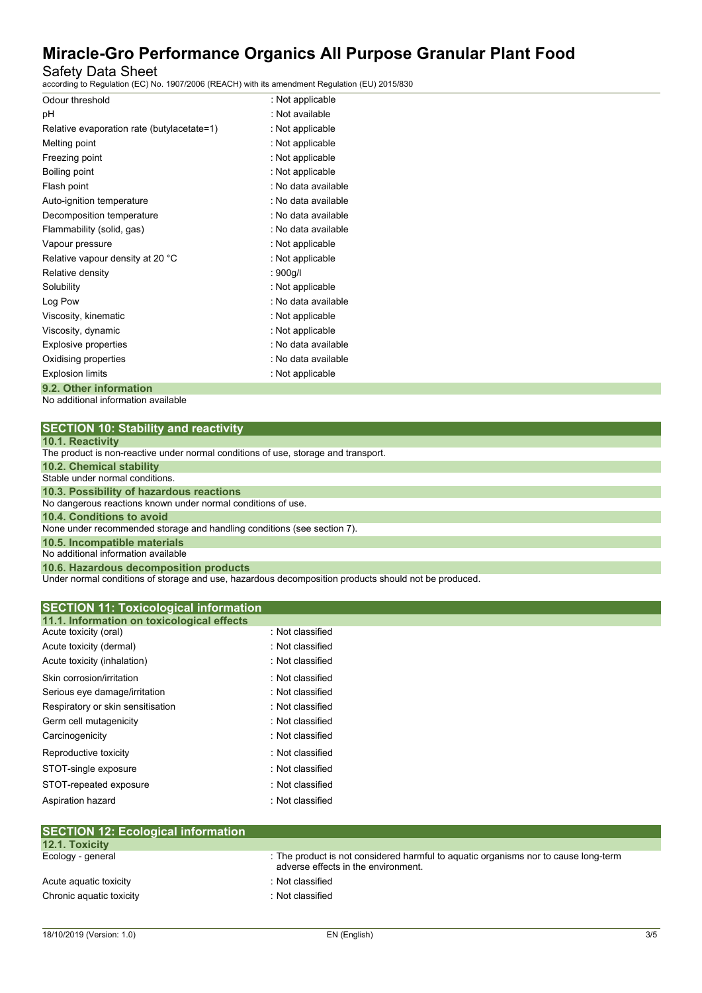# Safety Data Sheet

according to Regulation (EC) No. 1907/2006 (REACH) with its amendment Regulation (EU) 2015/830

| Odour threshold                            | : Not applicable    |
|--------------------------------------------|---------------------|
| рH                                         | : Not available     |
| Relative evaporation rate (butylacetate=1) | : Not applicable    |
| Melting point                              | : Not applicable    |
| Freezing point                             | : Not applicable    |
| Boiling point                              | : Not applicable    |
| Flash point                                | : No data available |
| Auto-ignition temperature                  | : No data available |
| Decomposition temperature                  | : No data available |
| Flammability (solid, gas)                  | : No data available |
| Vapour pressure                            | : Not applicable    |
| Relative vapour density at 20 °C           | : Not applicable    |
| Relative density                           | : 900g/l            |
| Solubility                                 | : Not applicable    |
| Log Pow                                    | : No data available |
| Viscosity, kinematic                       | : Not applicable    |
| Viscosity, dynamic                         | : Not applicable    |
| Explosive properties                       | : No data available |
| Oxidising properties                       | : No data available |
| <b>Explosion limits</b>                    | : Not applicable    |
| 9.2. Other information                     |                     |

No additional information available

| <b>SECTION 10: Stability and reactivity</b> |  |  |  |
|---------------------------------------------|--|--|--|
|---------------------------------------------|--|--|--|

|  |  |  |  | <b>10.1. Reactivity</b> |  |  |
|--|--|--|--|-------------------------|--|--|
|--|--|--|--|-------------------------|--|--|

Under normal conditions of storage and use, hazardous decomposition products should not be produced.

| <b>SECTION 11: Toxicological information</b> |                  |  |
|----------------------------------------------|------------------|--|
| 11.1. Information on toxicological effects   |                  |  |
| Acute toxicity (oral)                        | : Not classified |  |
| Acute toxicity (dermal)                      | : Not classified |  |
| Acute toxicity (inhalation)                  | : Not classified |  |
| Skin corrosion/irritation                    | : Not classified |  |
| Serious eye damage/irritation                | : Not classified |  |
| Respiratory or skin sensitisation            | : Not classified |  |
| Germ cell mutagenicity                       | : Not classified |  |
| Carcinogenicity                              | : Not classified |  |
| Reproductive toxicity                        | : Not classified |  |
| STOT-single exposure                         | : Not classified |  |
| STOT-repeated exposure                       | : Not classified |  |
| Aspiration hazard                            | : Not classified |  |
|                                              |                  |  |
| <b>SECTION 12: Ecological information</b>    |                  |  |
| $40.4$ Tavialing                             |                  |  |

| 12.1. Toxicity           |                                                                                                                            |
|--------------------------|----------------------------------------------------------------------------------------------------------------------------|
| Ecology - general        | : The product is not considered harmful to aquatic organisms nor to cause long-term<br>adverse effects in the environment. |
| Acute aguatic toxicity   | : Not classified                                                                                                           |
| Chronic aquatic toxicity | : Not classified                                                                                                           |
|                          |                                                                                                                            |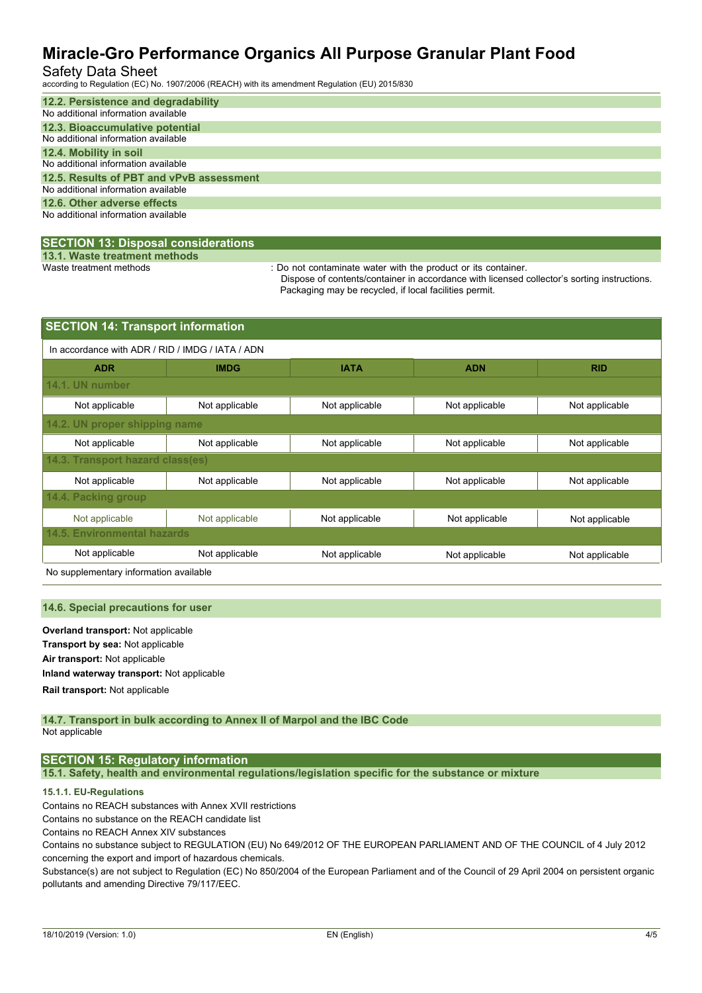## Safety Data Sheet

according to Regulation (EC) No. 1907/2006 (REACH) with its amendment Regulation (EU) 2015/830

| 12.2. Persistence and degradability      |
|------------------------------------------|
| No additional information available      |
| 12.3. Bioaccumulative potential          |
| No additional information available      |
| 12.4. Mobility in soil                   |
| No additional information available      |
| 12.5. Results of PBT and vPvB assessment |
| No additional information available      |
| 12.6. Other adverse effects              |
| No additional information available      |
|                                          |

### **SECTION 13: Disposal considerations**

**13.1. Waste treatment methods**

: Do not contaminate water with the product or its container.

Dispose of contents/container in accordance with licensed collector's sorting instructions. Packaging may be recycled, if local facilities permit.

| <b>SECTION 14: Transport information</b>         |                               |                |                |                |  |  |  |  |
|--------------------------------------------------|-------------------------------|----------------|----------------|----------------|--|--|--|--|
| In accordance with ADR / RID / IMDG / IATA / ADN |                               |                |                |                |  |  |  |  |
| <b>ADR</b>                                       | <b>IMDG</b>                   | <b>IATA</b>    | <b>ADN</b>     | <b>RID</b>     |  |  |  |  |
| 14.1. UN number                                  |                               |                |                |                |  |  |  |  |
| Not applicable                                   | Not applicable                | Not applicable | Not applicable | Not applicable |  |  |  |  |
|                                                  | 14.2. UN proper shipping name |                |                |                |  |  |  |  |
| Not applicable                                   | Not applicable                | Not applicable | Not applicable | Not applicable |  |  |  |  |
| 14.3. Transport hazard class(es)                 |                               |                |                |                |  |  |  |  |
| Not applicable                                   | Not applicable                | Not applicable | Not applicable | Not applicable |  |  |  |  |
| 14.4. Packing group                              |                               |                |                |                |  |  |  |  |
| Not applicable                                   | Not applicable                | Not applicable | Not applicable | Not applicable |  |  |  |  |
| 14.5. Environmental hazards                      |                               |                |                |                |  |  |  |  |
| Not applicable                                   | Not applicable                | Not applicable | Not applicable | Not applicable |  |  |  |  |

No supplementary information available

#### **14.6. Special precautions for user**

**Overland transport:** Not applicable **Transport by sea:** Not applicable **Air transport:** Not applicable **Inland waterway transport:** Not applicable **Rail.transport:** Not applicable

#### **14.7. Transport in bulk according to Annex II of Marpol and the IBC Code** Not applicable

### **SECTION 15: Regulatory information**

**15.1. Safety, health and environmental regulations/legislation specific for the substance or mixture**

### **15.1.1. EU-Regulations**

Contains no REACH substances with Annex XVII restrictions

Contains no substance on the REACH candidate list

Contains no REACH Annex XIV substances

Contains no substance subject to REGULATION (EU) No 649/2012 OF THE EUROPEAN PARLIAMENT AND OF THE COUNCIL of 4 July 2012 concerning the export and import of hazardous chemicals.

Substance(s) are not subject to Regulation (EC) No 850/2004 of the European Parliament and of the Council of 29 April 2004 on persistent organic pollutants and amending Directive 79/117/EEC.